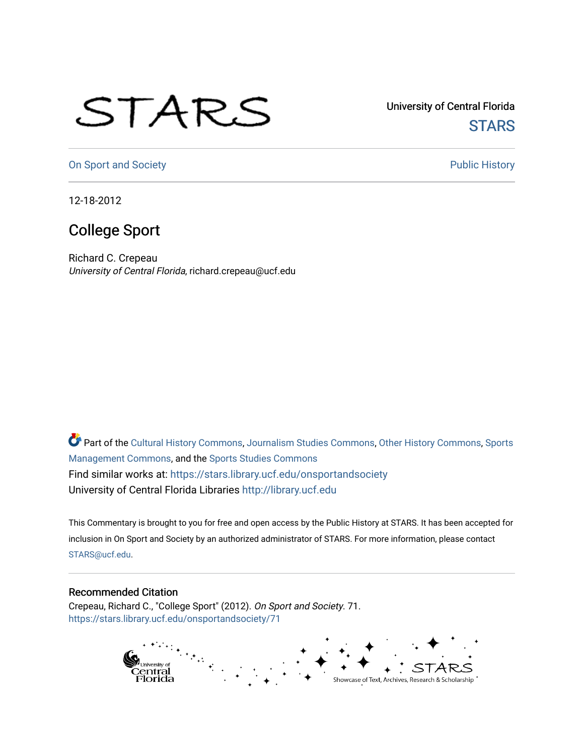## STARS

University of Central Florida **STARS** 

[On Sport and Society](https://stars.library.ucf.edu/onsportandsociety) **Public History** Public History

12-18-2012

## College Sport

Richard C. Crepeau University of Central Florida, richard.crepeau@ucf.edu

Part of the [Cultural History Commons](http://network.bepress.com/hgg/discipline/496?utm_source=stars.library.ucf.edu%2Fonsportandsociety%2F71&utm_medium=PDF&utm_campaign=PDFCoverPages), [Journalism Studies Commons,](http://network.bepress.com/hgg/discipline/333?utm_source=stars.library.ucf.edu%2Fonsportandsociety%2F71&utm_medium=PDF&utm_campaign=PDFCoverPages) [Other History Commons,](http://network.bepress.com/hgg/discipline/508?utm_source=stars.library.ucf.edu%2Fonsportandsociety%2F71&utm_medium=PDF&utm_campaign=PDFCoverPages) [Sports](http://network.bepress.com/hgg/discipline/1193?utm_source=stars.library.ucf.edu%2Fonsportandsociety%2F71&utm_medium=PDF&utm_campaign=PDFCoverPages) [Management Commons](http://network.bepress.com/hgg/discipline/1193?utm_source=stars.library.ucf.edu%2Fonsportandsociety%2F71&utm_medium=PDF&utm_campaign=PDFCoverPages), and the [Sports Studies Commons](http://network.bepress.com/hgg/discipline/1198?utm_source=stars.library.ucf.edu%2Fonsportandsociety%2F71&utm_medium=PDF&utm_campaign=PDFCoverPages) Find similar works at: <https://stars.library.ucf.edu/onsportandsociety> University of Central Florida Libraries [http://library.ucf.edu](http://library.ucf.edu/) 

This Commentary is brought to you for free and open access by the Public History at STARS. It has been accepted for inclusion in On Sport and Society by an authorized administrator of STARS. For more information, please contact [STARS@ucf.edu](mailto:STARS@ucf.edu).

## Recommended Citation

Crepeau, Richard C., "College Sport" (2012). On Sport and Society. 71. [https://stars.library.ucf.edu/onsportandsociety/71](https://stars.library.ucf.edu/onsportandsociety/71?utm_source=stars.library.ucf.edu%2Fonsportandsociety%2F71&utm_medium=PDF&utm_campaign=PDFCoverPages) 

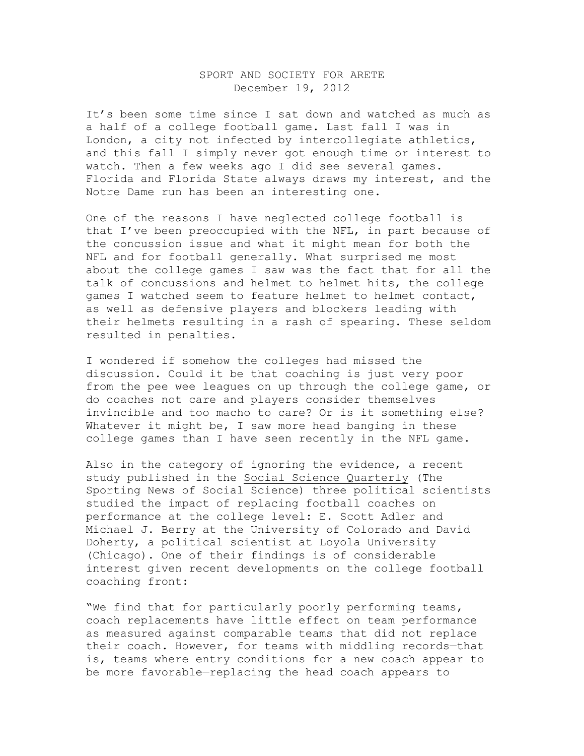## SPORT AND SOCIETY FOR ARETE December 19, 2012

It's been some time since I sat down and watched as much as a half of a college football game. Last fall I was in London, a city not infected by intercollegiate athletics, and this fall I simply never got enough time or interest to watch. Then a few weeks ago I did see several games. Florida and Florida State always draws my interest, and the Notre Dame run has been an interesting one.

One of the reasons I have neglected college football is that I've been preoccupied with the NFL, in part because of the concussion issue and what it might mean for both the NFL and for football generally. What surprised me most about the college games I saw was the fact that for all the talk of concussions and helmet to helmet hits, the college games I watched seem to feature helmet to helmet contact, as well as defensive players and blockers leading with their helmets resulting in a rash of spearing. These seldom resulted in penalties.

I wondered if somehow the colleges had missed the discussion. Could it be that coaching is just very poor from the pee wee leagues on up through the college game, or do coaches not care and players consider themselves invincible and too macho to care? Or is it something else? Whatever it might be, I saw more head banging in these college games than I have seen recently in the NFL game.

Also in the category of ignoring the evidence, a recent study published in the Social Science Quarterly (The Sporting News of Social Science) three political scientists studied the impact of replacing football coaches on performance at the college level: E. Scott Adler and Michael J. Berry at the University of Colorado and David Doherty, a political scientist at Loyola University (Chicago). One of their findings is of considerable interest given recent developments on the college football coaching front:

"We find that for particularly poorly performing teams, coach replacements have little effect on team performance as measured against comparable teams that did not replace their coach. However, for teams with middling records—that is, teams where entry conditions for a new coach appear to be more favorable—replacing the head coach appears to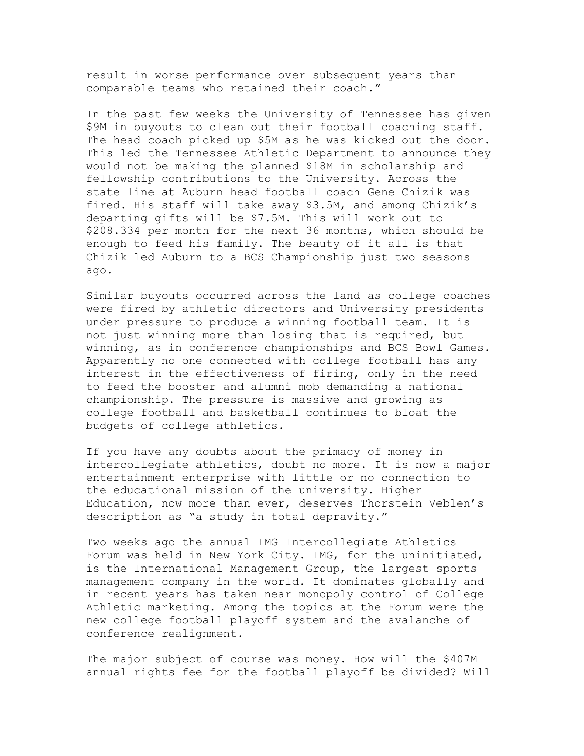result in worse performance over subsequent years than comparable teams who retained their coach."

In the past few weeks the University of Tennessee has given \$9M in buyouts to clean out their football coaching staff. The head coach picked up \$5M as he was kicked out the door. This led the Tennessee Athletic Department to announce they would not be making the planned \$18M in scholarship and fellowship contributions to the University. Across the state line at Auburn head football coach Gene Chizik was fired. His staff will take away \$3.5M, and among Chizik's departing gifts will be \$7.5M. This will work out to \$208.334 per month for the next 36 months, which should be enough to feed his family. The beauty of it all is that Chizik led Auburn to a BCS Championship just two seasons ago.

Similar buyouts occurred across the land as college coaches were fired by athletic directors and University presidents under pressure to produce a winning football team. It is not just winning more than losing that is required, but winning, as in conference championships and BCS Bowl Games. Apparently no one connected with college football has any interest in the effectiveness of firing, only in the need to feed the booster and alumni mob demanding a national championship. The pressure is massive and growing as college football and basketball continues to bloat the budgets of college athletics.

If you have any doubts about the primacy of money in intercollegiate athletics, doubt no more. It is now a major entertainment enterprise with little or no connection to the educational mission of the university. Higher Education, now more than ever, deserves Thorstein Veblen's description as "a study in total depravity."

Two weeks ago the annual IMG Intercollegiate Athletics Forum was held in New York City. IMG, for the uninitiated, is the International Management Group, the largest sports management company in the world. It dominates globally and in recent years has taken near monopoly control of College Athletic marketing. Among the topics at the Forum were the new college football playoff system and the avalanche of conference realignment.

The major subject of course was money. How will the \$407M annual rights fee for the football playoff be divided? Will